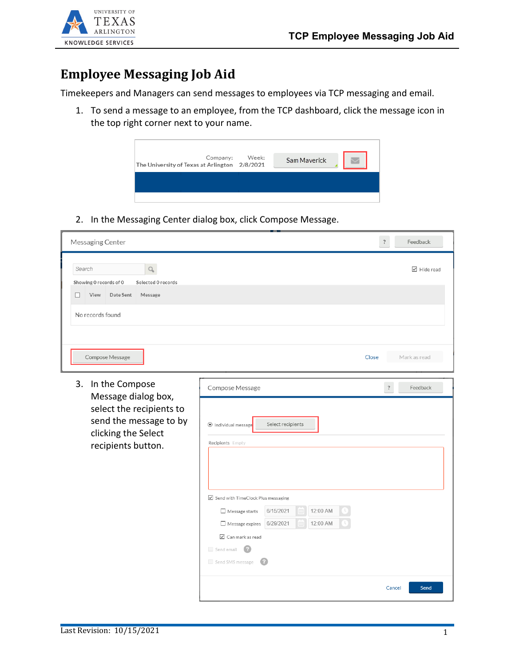



## **Employee Messaging Job Aid**

Timekeepers and Managers can send messages to employees via TCP messaging and email.

1. To send a message to an employee, from the TCP dashboard, click the message icon in the top right corner next to your name.

| The University of Texas at Arlington 2/8/2021 | Company: Week: | Sam Maverick |  |
|-----------------------------------------------|----------------|--------------|--|
|                                               |                |              |  |
|                                               |                |              |  |

2. In the Messaging Center dialog box, click Compose Message.

| Messaging Center                                                                                                                               |                                                                                                                                                                                                                                                                                                                   | $\ddot{?}$ | Feedback                          |
|------------------------------------------------------------------------------------------------------------------------------------------------|-------------------------------------------------------------------------------------------------------------------------------------------------------------------------------------------------------------------------------------------------------------------------------------------------------------------|------------|-----------------------------------|
| Search<br>Q<br>Showing 0 records of 0<br>Selected 0 records<br>View<br>Date Sent<br>Message<br>п<br>No records found                           |                                                                                                                                                                                                                                                                                                                   |            | $\overline{\mathbf{2}}$ Hide read |
| Compose Message                                                                                                                                |                                                                                                                                                                                                                                                                                                                   | Close      | Mark as read                      |
| 3.<br>In the Compose<br>Message dialog box,<br>select the recipients to<br>send the message to by<br>clicking the Select<br>recipients button. | Compose Message<br>Select recipients<br>Individual message<br>Recipients Empty<br>$\boxtimes$ Send with TimeClock Plus messaging<br>6/15/2021<br>12:00 AM<br>$\Box$ Message starts<br>Đ<br>12:00 AM<br>6/29/2021<br>Message expires<br>$\triangledown$ Can mark as read<br>Send email<br>- 12<br>Send SMS message | $\ddot{?}$ | Feedback                          |
|                                                                                                                                                |                                                                                                                                                                                                                                                                                                                   |            | Cancel<br>Send                    |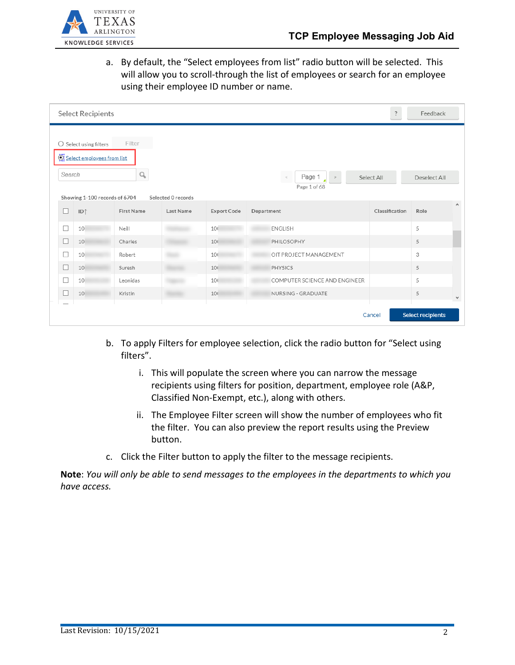

a. By default, the "Select employees from list" radio button will be selected. This will allow you to scroll-through the list of employees or search for an employee using their employee ID number or name.

|        | <b>Select Recipients</b>                                                                       |                   |                    |                    |                                              | $\ddot{\cdot}$ | Feedback     |                    |  |  |  |
|--------|------------------------------------------------------------------------------------------------|-------------------|--------------------|--------------------|----------------------------------------------|----------------|--------------|--------------------|--|--|--|
| Search | $\bigcirc$ Select using filters<br>Select employees from list<br>Showing 1-100 records of 6704 | Filter<br>Q       | Selected 0 records |                    | Page 1<br>$\, > \,$<br>$\,<$<br>Page 1 of 68 | Select All     | Deselect All |                    |  |  |  |
| П      | ID <sup>1</sup>                                                                                | <b>First Name</b> | Last Name          | <b>Export Code</b> | Department                                   | Classification | Role         | $\curvearrowright$ |  |  |  |
| □      | 10                                                                                             | Neill             |                    | 10(                | <b>ENGLISH</b>                               |                | 5            |                    |  |  |  |
| □      | 10                                                                                             | Charles           |                    | 10(                | PHILOSOPHY                                   |                | 5            |                    |  |  |  |
| □      | 10                                                                                             | Robert            |                    | 10(                | OIT PROJECT MANAGEMENT                       |                | 3            |                    |  |  |  |
| □      | 10                                                                                             | Suresh            |                    | 10(                | PHYSICS                                      |                | 5            |                    |  |  |  |
| П      | 10                                                                                             | Leonidas          |                    | 10(                | COMPUTER SCIENCE AND ENGINEER                |                | 5            |                    |  |  |  |
| □      | 10                                                                                             | Kristin           |                    | 10                 | NURSING - GRADUATE                           |                | 5            | v                  |  |  |  |
|        | <b>Select recipients</b><br>Cancel                                                             |                   |                    |                    |                                              |                |              |                    |  |  |  |

- b. To apply Filters for employee selection, click the radio button for "Select using filters".
	- i. This will populate the screen where you can narrow the message recipients using filters for position, department, employee role (A&P, Classified Non-Exempt, etc.), along with others.
	- ii. The Employee Filter screen will show the number of employees who fit the filter. You can also preview the report results using the Preview button.
- c. Click the Filter button to apply the filter to the message recipients.

**Note**: *You will only be able to send messages to the employees in the departments to which you have access.*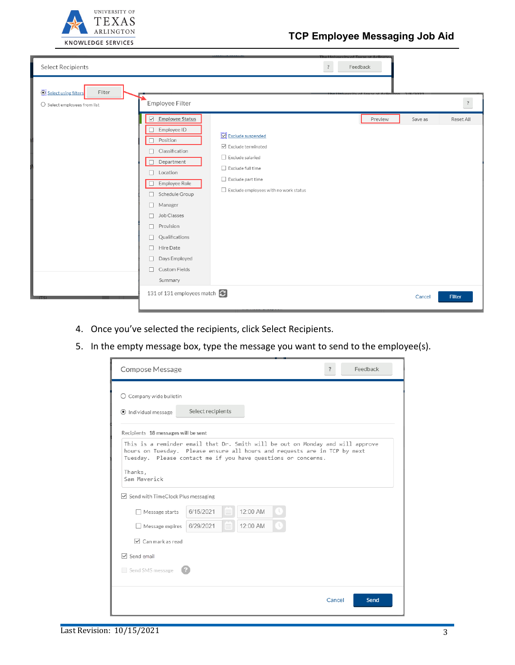

| <b>Select Recipients</b>                                                |                                                                                                                                                                                                                                    |                                                                                                                                                                              | $\ddot{\cdot}$<br>Feedback |                      |                      |
|-------------------------------------------------------------------------|------------------------------------------------------------------------------------------------------------------------------------------------------------------------------------------------------------------------------------|------------------------------------------------------------------------------------------------------------------------------------------------------------------------------|----------------------------|----------------------|----------------------|
| Select using filters<br>Filter<br>$\bigcirc$ Select employees from list | Employee Filter<br><b>Employee Status</b><br>$\overline{\smile}$<br>Employee ID<br>Position<br>П<br>Classification<br>Department<br>Location<br>$\Box$<br>Employee Role<br>Schedule Group<br>L<br>Manager<br>□<br>Job Classes<br>п | Exclude suspended<br>$\triangledown$ Exclude terminated<br>Exclude salaried<br>$\Box$ Exclude full time<br>Exclude part time<br>$\Box$ Exclude employees with no work status | Preview                    | Reset All<br>Save as | $\ddot{\phantom{0}}$ |
|                                                                         | Provision<br>п<br>Qualifications<br>П<br>Hire Date<br>□<br>Days Employed<br>□<br>Custom Fields<br>П<br>Summary                                                                                                                     |                                                                                                                                                                              |                            |                      |                      |
|                                                                         | 131 of 131 employees match                                                                                                                                                                                                         |                                                                                                                                                                              |                            | Filter<br>Cancel     |                      |

- 4. Once you've selected the recipients, click Select Recipients.
- 5. In the empty message box, type the message you want to send to the employee(s).

| Compose Message                                                                                                                                                                                                                                         |                   |          |        | Feedback |
|---------------------------------------------------------------------------------------------------------------------------------------------------------------------------------------------------------------------------------------------------------|-------------------|----------|--------|----------|
| $\bigcirc$ Company wide bulletin                                                                                                                                                                                                                        |                   |          |        |          |
| Individual message                                                                                                                                                                                                                                      | Select recipients |          |        |          |
| Recipients 18 messages will be sent                                                                                                                                                                                                                     |                   |          |        |          |
| This is a reminder email that Dr. Smith will be out on Monday and will approve<br>hours on Tuesday. Please ensure all hours and requests are in TCP by next<br>Tuesday. Please contact me if you have questions or concerns.<br>Thanks,<br>Sam Maverick |                   |          |        |          |
| ► Send with TimeClock Plus messaging                                                                                                                                                                                                                    |                   |          |        |          |
| Message starts                                                                                                                                                                                                                                          | 6/15/2021<br>EBI  | 12:00 AM |        |          |
| Message expires                                                                                                                                                                                                                                         | 6/29/2021<br>EE   | 12:00 AM |        |          |
| $\triangledown$ Can mark as read                                                                                                                                                                                                                        |                   |          |        |          |
| $\nabla$ Send email                                                                                                                                                                                                                                     |                   |          |        |          |
| Send SMS message                                                                                                                                                                                                                                        |                   |          |        |          |
|                                                                                                                                                                                                                                                         |                   |          | Cancel | Send     |